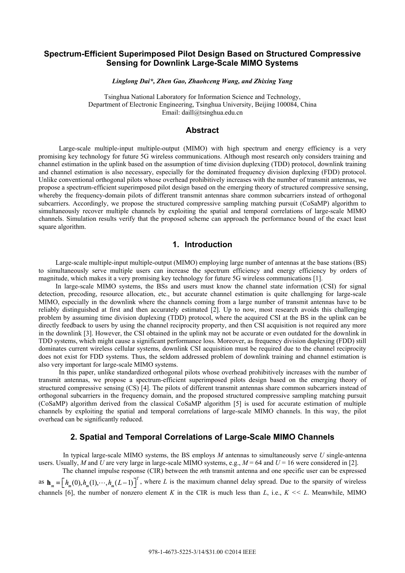# **Spectrum-Efficient Superimposed Pilot Design Based on Structured Compressive Sensing for Downlink Large-Scale MIMO Systems**

*Linglong Dai\*, Zhen Gao, Zhaohceng Wang, and Zhixing Yang* 

Tsinghua National Laboratory for Information Science and Technology, Department of Electronic Engineering, Tsinghua University, Beijing 100084, China Email: daill@tsinghua.edu.cn

### **Abstract**

Large-scale multiple-input multiple-output (MIMO) with high spectrum and energy efficiency is a very promising key technology for future 5G wireless communications. Although most research only considers training and channel estimation in the uplink based on the assumption of time division duplexing (TDD) protocol, downlink training and channel estimation is also necessary, especially for the dominated frequency division duplexing (FDD) protocol. Unlike conventional orthogonal pilots whose overhead prohibitively increases with the number of transmit antennas, we propose a spectrum-efficient superimposed pilot design based on the emerging theory of structured compressive sensing, whereby the frequency-domain pilots of different transmit antennas share common subcarriers instead of orthogonal subcarriers. Accordingly, we propose the structured compressive sampling matching pursuit (CoSaMP) algorithm to simultaneously recover multiple channels by exploiting the spatial and temporal correlations of large-scale MIMO channels. Simulation results verify that the proposed scheme can approach the performance bound of the exact least square algorithm.

## **1. Introduction**

 Large-scale multiple-input multiple-output (MIMO) employing large number of antennas at the base stations (BS) to simultaneously serve multiple users can increase the spectrum efficiency and energy efficiency by orders of magnitude, which makes it a very promising key technology for future 5G wireless communications [1].

In large-scale MIMO systems, the BSs and users must know the channel state information (CSI) for signal detection, precoding, resource allocation, etc., but accurate channel estimation is quite challenging for large-scale MIMO, especially in the downlink where the channels coming from a large number of transmit antennas have to be reliably distinguished at first and then accurately estimated [2]. Up to now, most research avoids this challenging problem by assuming time division duplexing (TDD) protocol, where the acquired CSI at the BS in the uplink can be directly feedback to users by using the channel reciprocity property, and then CSI acquisition is not required any more in the downlink [3]. However, the CSI obtained in the uplink may not be accurate or even outdated for the downlink in TDD systems, which might cause a significant performance loss. Moreover, as frequency division duplexing (FDD) still dominates current wireless cellular systems, downlink CSI acquisition must be required due to the channel reciprocity does not exist for FDD systems. Thus, the seldom addressed problem of downlink training and channel estimation is also very important for large-scale MIMO systems.

In this paper, unlike standardized orthogonal pilots whose overhead prohibitively increases with the number of transmit antennas, we propose a spectrum-efficient superimposed pilots design based on the emerging theory of structured compressive sensing (CS) [4]. The pilots of different transmit antennas share common subcarriers instead of orthogonal subcarriers in the frequency domain, and the proposed structured compressive sampling matching pursuit (CoSaMP) algorithm derived from the classical CoSaMP algorithm [5] is used for accurate estimation of multiple channels by exploiting the spatial and temporal correlations of large-scale MIMO channels. In this way, the pilot overhead can be significantly reduced.

# **2. Spatial and Temporal Correlations of Large-Scale MIMO Channels**

 In typical large-scale MIMO systems, the BS employs *M* antennas to simultaneously serve *U* single-antenna users. Usually, *M* and *U* are very large in large-scale MIMO systems, e.g.,  $M = 64$  and  $U = 16$  were considered in [2]. The channel impulse response (CIR) between the *m*th transmit antenna and one specific user can be expressed

as  $h_m = [h_m(0), h_m(1), \dots, h_m(L-1)]^T$ , where *L* is the maximum channel delay spread. Due to the sparsity of wireless channels [6], the number of nonzero element *K* in the CIR is much less than *L*, i.e.,  $K \ll L$ . Meanwhile, MIMO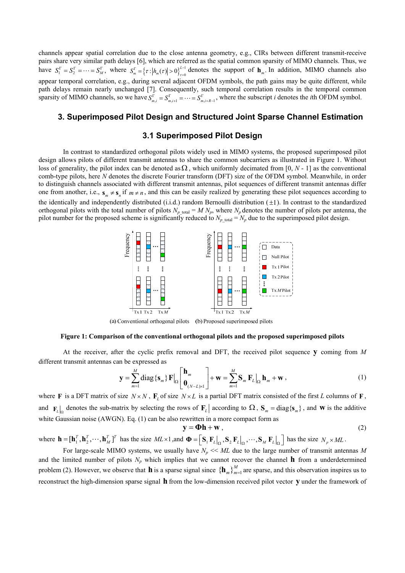channels appear spatial correlation due to the close antenna geometry, e.g., CIRs between different transmit-receive pairs share very similar path delays [6], which are referred as the spatial common sparsity of MIMO channels. Thus, we have  $S_1^{\Gamma} = S_2^{\Gamma} = \cdots = S_M^{\Gamma}$ , where  $S_m^{\Gamma} = \{\tau : |h_m(\tau)| > 0\}_{\tau=0}^{L-1}$  denotes the support of  $\mathbf{h}_m$ . In addition, MIMO channels also appear temporal correlation, e.g., during several adjacent OFDM symbols, the path gains may be quite different, while path delays remain nearly unchanged [7]. Consequently, such temporal correlation results in the temporal common sparsity of MIMO channels, so we have  $S_{m,i}^{\Gamma} = S_{m,i+1}^{\Gamma} = \cdots = S_{m,i+R-1}^{\Gamma}$ , where the subscript *i* denotes the *i*th OFDM symbol.

# **3. Superimposed Pilot Design and Structured Joint Sparse Channel Estimation**

## **3.1 Superimposed Pilot Design**

 In contrast to standardized orthogonal pilots widely used in MIMO systems, the proposed superimposed pilot design allows pilots of different transmit antennas to share the common subcarriers as illustrated in Figure 1. Without loss of generality, the pilot index can be denoted as  $\Omega$ , which uniformly decimated from [0, *N* - 1] as the conventional comb-type pilots, here *N* denotes the discrete Fourier transform (DFT) size of the OFDM symbol. Meanwhile, in order to distinguish channels associated with different transmit antennas, pilot sequences of different transmit antennas differ one from another, i.e.,  $\mathbf{s}_m \neq \mathbf{s}_n$  if  $m \neq n$ , and this can be easily realized by generating these pilot sequences according to the identically and independently distributed (i.i.d.) random Bernoulli distribution  $(\pm 1)$ . In contrast to the standardized orthogonal pilots with the total number of pilots  $N_p$  total =  $M N_p$ , where  $N_p$  denotes the number of pilots per antenna, the pilot number for the proposed scheme is significantly reduced to  $N_p$  <sub>total</sub> =  $N_p$  due to the superimposed pilot design.



(a) Conventional orthogonal pilots (b) Proposed superimposed pilots

#### **Figure 1: Comparison of the conventional orthogonal pilots and the proposed superimposed pilots**

 At the receiver, after the cyclic prefix removal and DFT, the received pilot sequence **y** coming from *M* different transmit antennas can be expressed as

$$
\mathbf{y} = \sum_{m=1}^{M} \text{diag}\{\mathbf{s}_{m}\} \mathbf{F}|_{\Omega} \begin{bmatrix} \mathbf{h}_{m} \\ \mathbf{0}_{(N-L)\times 1} \end{bmatrix} + \mathbf{w} = \sum_{m=1}^{M} \mathbf{S}_{m} \mathbf{F}_{L}|_{\Omega} \mathbf{h}_{m} + \mathbf{w}, \qquad (1)
$$

where **F** is a DFT matrix of size  $N \times N$ ,  $\mathbf{F}_L$  of size  $N \times L$  is a partial DFT matrix consisted of the first *L* columns of **F**, and  $\mathbf{F}_L$  denotes the sub-matrix by selecting the rows of  $\mathbf{F}_L$  according to  $\Omega$ ,  $\mathbf{S}_m = \text{diag}\{\mathbf{s}_m\}$ , and **w** is the additive white Gaussian noise (AWGN). Eq. (1) can be also rewritten in a more compact form as

$$
\mathbf{y} = \mathbf{\Phi} \mathbf{h} + \mathbf{w},\tag{2}
$$

where  $\mathbf{h} = [\mathbf{h}_1^T, \mathbf{h}_2^T, \cdots, \mathbf{h}_M^T]^T$  has the size  $ML \times 1$ , and  $\mathbf{\Phi} = [\mathbf{S}_1 \mathbf{F}_L |_{\Omega}, \mathbf{S}_2 \mathbf{F}_L |_{\Omega}, \cdots, \mathbf{S}_M \mathbf{F}_L |_{\Omega} ]$  has the size  $N_p \times ML$ .

For large-scale MIMO systems, we usually have  $N_p \ll ML$  due to the large number of transmit antennas M and the limited number of pilots  $N_p$  which implies that we cannot recover the channel **h** from a underdetermined problem (2). However, we observe that **h** is a sparse signal since  ${\{\mathbf{h}_m\}}_{m=1}^M$  are sparse, and this observation inspires us to reconstruct the high-dimension sparse signal **h** from the low-dimension received pilot vector **y** under the framework of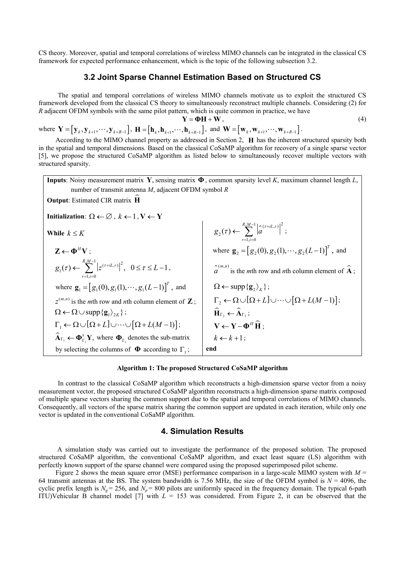CS theory. Moreover, spatial and temporal correlations of wireless MIMO channels can be integrated in the classical CS framework for expected performance enhancement, which is the topic of the following subsection 3.2.

## **3.2 Joint Sparse Channel Estimation Based on Structured CS**

 The spatial and temporal correlations of wireless MIMO channels motivate us to exploit the structured CS framework developed from the classical CS theory to simultaneously reconstruct multiple channels. Considering (2) for *R* adjacent OFDM symbols with the same pilot pattern, which is quite common in practice, we have

$$
\mathbf{Y} = \mathbf{\Phi} \mathbf{H} + \mathbf{W},\tag{4}
$$

where  $\mathbf{Y} = [\mathbf{y}_k, \mathbf{y}_{k+1}, \cdots, \mathbf{y}_{k+R-1}]$ ,  $\mathbf{H} = [\mathbf{h}_k, \mathbf{h}_{k+1}, \cdots, \mathbf{h}_{k+R-1}]$ , and  $\mathbf{W} = [\mathbf{w}_k, \mathbf{w}_{k+1}, \cdots, \mathbf{w}_{k+R-1}]$ .

According to the MIMO channel property as addressed in Section 2, **H** has the inherent structured sparsity both in the spatial and temporal dimensions. Based on the classical CoSaMP algorithm for recovery of a single sparse vector [5], we propose the structured CoSaMP algorithm as listed below to simultaneously recover multiple vectors with structured sparsity.



#### **Algorithm 1: The proposed Structured CoSaMP algorithm**

 In contrast to the classical CoSaMP algorithm which reconstructs a high-dimension sparse vector from a noisy measurement vector, the proposed structured CoSaMP algorithm reconstructs a high-dimension sparse matrix composed of multiple sparse vectors sharing the common support due to the spatial and temporal correlations of MIMO channels. Consequently, all vectors of the sparse matrix sharing the common support are updated in each iteration, while only one vector is updated in the conventional CoSaMP algorithm.

## **4. Simulation Results**

 A simulation study was carried out to investigate the performance of the proposed solution. The proposed structured CoSaMP algorithm, the conventional CoSaMP algorithm, and exact least square (LS) algorithm with perfectly known support of the sparse channel were compared using the proposed superimposed pilot scheme.

Figure 2 shows the mean square error (MSE) performance comparison in a large-scale MIMO system with *M* = 64 transmit antennas at the BS. The system bandwidth is 7.56 MHz, the size of the OFDM symbol is  $N = 4096$ , the cyclic prefix length is  $N_g = 256$ , and  $N_p = 800$  pilots are uniformly spaced in the frequency domain. The typical 6-path ITU)Vehicular B channel model [7] with *L* = 153 was considered. From Figure 2, it can be observed that the